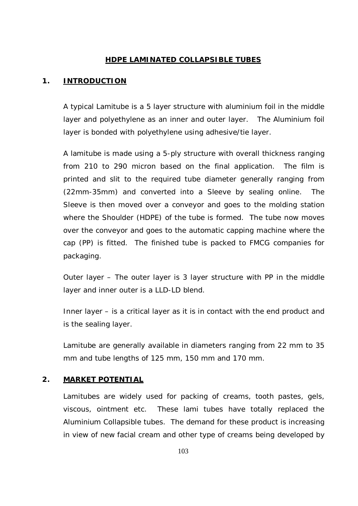#### **HDPE LAMINATED COLLAPSIBLE TUBES**

#### **1. INTRODUCTION**

A typical Lamitube is a 5 layer structure with aluminium foil in the middle layer and polyethylene as an inner and outer layer. The Aluminium foil layer is bonded with polyethylene using adhesive/tie layer.

A lamitube is made using a 5-ply structure with overall thickness ranging from 210 to 290 micron based on the final application. The film is printed and slit to the required tube diameter generally ranging from (22mm-35mm) and converted into a Sleeve by sealing online. The Sleeve is then moved over a conveyor and goes to the molding station where the Shoulder (HDPE) of the tube is formed. The tube now moves over the conveyor and goes to the automatic capping machine where the cap (PP) is fitted. The finished tube is packed to FMCG companies for packaging.

Outer layer – The outer layer is 3 layer structure with PP in the middle layer and inner outer is a LLD-LD blend.

Inner layer – is a critical layer as it is in contact with the end product and is the sealing layer.

Lamitube are generally available in diameters ranging from 22 mm to 35 mm and tube lengths of 125 mm, 150 mm and 170 mm.

#### **2. MARKET POTENTIAL**

Lamitubes are widely used for packing of creams, tooth pastes, gels, viscous, ointment etc. These lami tubes have totally replaced the Aluminium Collapsible tubes. The demand for these product is increasing in view of new facial cream and other type of creams being developed by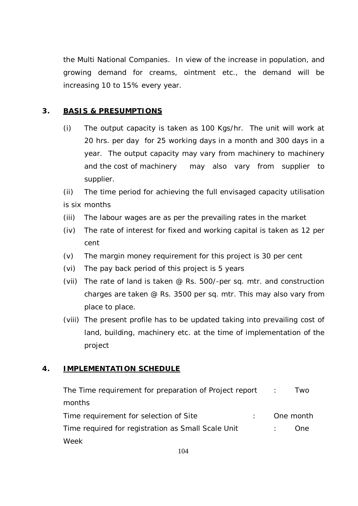the Multi National Companies. In view of the increase in population, and growing demand for creams, ointment etc., the demand will be increasing 10 to 15% every year.

# **3. BASIS & PRESUMPTIONS**

(i) The output capacity is taken as 100 Kgs/hr. The unit will work at 20 hrs. per day for 25 working days in a month and 300 days in a year. The output capacity may vary from machinery to machinery and the cost of machinery may also vary from supplier to supplier.

(ii) The time period for achieving the full envisaged capacity utilisation is six months

- (iii) The labour wages are as per the prevailing rates in the market
- (iv) The rate of interest for fixed and working capital is taken as 12 per cent
- (v) The margin money requirement for this project is 30 per cent
- (vi) The pay back period of this project is 5 years
- (vii) The rate of land is taken @ Rs. 500/-per sq. mtr. and construction charges are taken @ Rs. 3500 per sq. mtr. This may also vary from place to place.
- (viii) The present profile has to be updated taking into prevailing cost of land, building, machinery etc. at the time of implementation of the project

# **4. IMPLEMENTATION SCHEDULE**

| The Time requirement for preparation of Project report : |  | I wo      |
|----------------------------------------------------------|--|-----------|
| months                                                   |  |           |
| Time requirement for selection of Site                   |  | One month |
| Time required for registration as Small Scale Unit       |  | One.      |
| Week                                                     |  |           |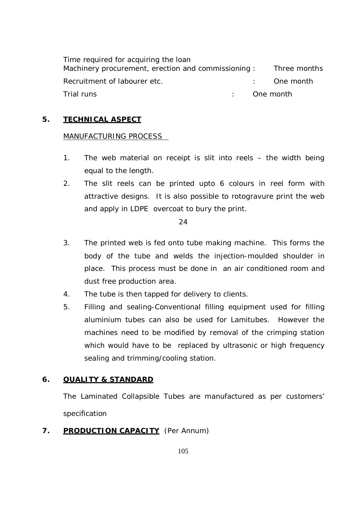Time required for acquiring the loan Machinery procurement, erection and commissioning : Three months Recruitment of labourer etc. The contract of the month of the set of the month of the month Trial runs : One month

# **5. TECHNICAL ASPECT**

#### MANUFACTURING PROCESS

- 1. The web material on receipt is slit into reels the width being equal to the length.
- 2. The slit reels can be printed upto 6 colours in reel form with attractive designs. It is also possible to rotogravure print the web and apply in LDPE overcoat to bury the print.

#### 24

- 3. The printed web is fed onto tube making machine. This forms the body of the tube and welds the injection-moulded shoulder in place. This process must be done in an air conditioned room and dust free production area.
- 4. The tube is then tapped for delivery to clients.
- 5. Filling and sealing-Conventional filling equipment used for filling aluminium tubes can also be used for Lamitubes. However the machines need to be modified by removal of the crimping station which would have to be replaced by ultrasonic or high frequency sealing and trimming/cooling station.

## **6. QUALITY & STANDARD**

The Laminated Collapsible Tubes are manufactured as per customers' specification

**7. PRODUCTION CAPACITY** (Per Annum)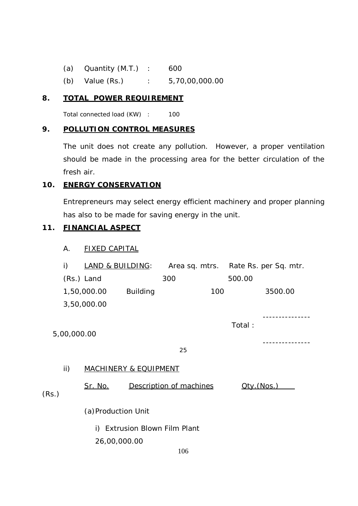(a) Quantity (M.T.) : 600 (b) Value (Rs.) : 5,70,00,000.00

## **8. TOTAL POWER REQUIREMENT**

Total connected load (KW) : 100

## **9. POLLUTION CONTROL MEASURES**

The unit does not create any pollution. However, a proper ventilation should be made in the processing area for the better circulation of the fresh air.

## **10. ENERGY CONSERVATION**

Entrepreneurs may select energy efficient machinery and proper planning has also to be made for saving energy in the unit.

## **11. FINANCIAL ASPECT**

# A. FIXED CAPITAL

|       | i)                            | <b>LAND &amp; BUILDING:</b>      |                 |                         |     |            | Area sq. mtrs. Rate Rs. per Sq. mtr. |
|-------|-------------------------------|----------------------------------|-----------------|-------------------------|-----|------------|--------------------------------------|
|       |                               | (Rs.) Land                       |                 | 300                     |     | 500.00     |                                      |
|       |                               | 1,50,000.00                      | <b>Building</b> |                         | 100 |            | 3500.00                              |
|       |                               | 3,50,000.00                      |                 |                         |     |            |                                      |
|       | 5,00,000.00                   |                                  |                 |                         |     | Total:     |                                      |
|       |                               |                                  |                 | 25                      |     |            |                                      |
|       | ii)                           | <b>MACHINERY &amp; EQUIPMENT</b> |                 |                         |     |            |                                      |
| (Rs.) |                               | <u>Sr. No.</u>                   |                 | Description of machines |     | Qtv.(Nos.) |                                      |
|       |                               | (a) Production Unit              |                 |                         |     |            |                                      |
|       | i) Extrusion Blown Film Plant |                                  |                 |                         |     |            |                                      |
|       |                               | 26,00,000.00                     |                 |                         |     |            |                                      |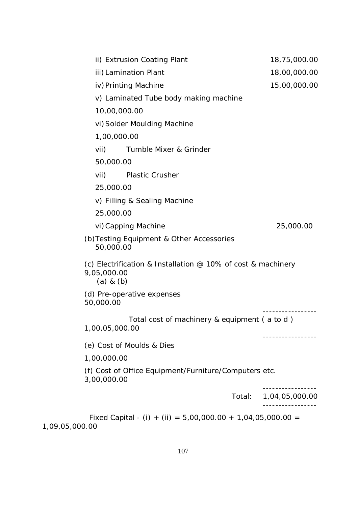| ii) Extrusion Coating Plant                                                                    | 18,75,000.00   |
|------------------------------------------------------------------------------------------------|----------------|
| iii) Lamination Plant                                                                          | 18,00,000.00   |
| iv) Printing Machine                                                                           | 15,00,000.00   |
| v) Laminated Tube body making machine                                                          |                |
| 10,00,000.00                                                                                   |                |
| vi) Solder Moulding Machine                                                                    |                |
| 1,00,000.00                                                                                    |                |
| Tumble Mixer & Grinder<br>vii)                                                                 |                |
| 50,000.00                                                                                      |                |
| vii)<br><b>Plastic Crusher</b>                                                                 |                |
| 25,000.00                                                                                      |                |
| v) Filling & Sealing Machine                                                                   |                |
| 25,000.00                                                                                      |                |
| vi) Capping Machine                                                                            | 25,000.00      |
| (b) Testing Equipment & Other Accessories<br>50,000.00                                         |                |
| (c) Electrification & Installation $@$ 10% of cost & machinery<br>9,05,000.00<br>$(a)$ & $(b)$ |                |
| (d) Pre-operative expenses<br>50,000.00                                                        |                |
| Total cost of machinery & equipment (a to d)<br>1,00,05,000.00                                 |                |
| (e) Cost of Moulds & Dies                                                                      |                |
| 1,00,000.00                                                                                    |                |
| (f) Cost of Office Equipment/Furniture/Computers etc.<br>3,00,000.00                           |                |
| Total:                                                                                         | 1,04,05,000.00 |
| Fixed Capital - (i) + (ii) = $5,00,000.00 + 1,04,05,000.00 =$                                  |                |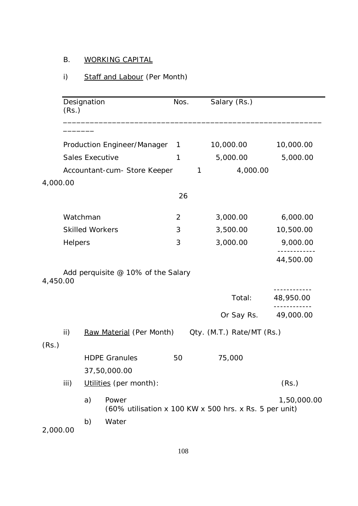# B. WORKING CAPITAL

# i) Staff and Labour (Per Month)

|          | (Rs.)   | Designation            |                                                                 | Nos. | Salary (Rs.)              |             |
|----------|---------|------------------------|-----------------------------------------------------------------|------|---------------------------|-------------|
|          |         |                        |                                                                 |      |                           |             |
|          |         |                        | Production Engineer/Manager                                     | 1    | 10,000.00                 | 10,000.00   |
|          |         | <b>Sales Executive</b> |                                                                 | 1    | 5,000.00                  | 5,000.00    |
|          |         |                        | Accountant-cum- Store Keeper                                    | 1    | 4,000.00                  |             |
| 4,000.00 |         |                        |                                                                 |      |                           |             |
|          |         |                        |                                                                 | 26   |                           |             |
|          |         | Watchman               |                                                                 | 2    | 3,000.00                  | 6,000.00    |
|          |         | <b>Skilled Workers</b> |                                                                 | 3    | 3,500.00                  | 10,500.00   |
|          | Helpers |                        |                                                                 | 3    | 3,000.00                  | 9,000.00    |
|          |         |                        |                                                                 |      |                           | 44,500.00   |
| 4,450.00 |         |                        | Add perquisite @ 10% of the Salary                              |      |                           |             |
|          |         |                        |                                                                 |      | Total:                    | 48,950.00   |
|          |         |                        |                                                                 |      | Or Say Rs.                | 49,000.00   |
|          | ii)     |                        | Raw Material (Per Month)                                        |      | Qty. (M.T.) Rate/MT (Rs.) |             |
| (Rs.)    |         |                        |                                                                 |      |                           |             |
|          |         |                        | <b>HDPE Granules</b>                                            | 50   | 75,000                    |             |
|          |         |                        | 37,50,000.00                                                    |      |                           |             |
|          | iii)    |                        | Utilities (per month):                                          |      |                           | (Rs.)       |
|          |         | a)                     | Power<br>(60% utilisation x 100 KW x 500 hrs. x Rs. 5 per unit) |      |                           | 1,50,000.00 |
| 2,000.00 |         | b)                     | Water                                                           |      |                           |             |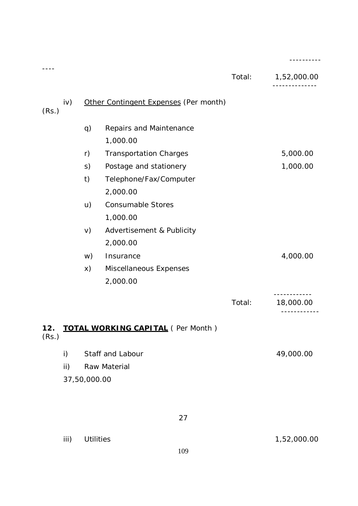|              |              |                                          |        | ---------                          |
|--------------|--------------|------------------------------------------|--------|------------------------------------|
|              |              |                                          | Total: | 1,52,000.00<br>- - - - - - - - - - |
| iv)<br>(Rs.) |              | Other Contingent Expenses (Per month)    |        |                                    |
|              | q)           | Repairs and Maintenance                  |        |                                    |
|              |              | 1,000.00                                 |        |                                    |
|              | r)           | <b>Transportation Charges</b>            |        | 5,000.00                           |
|              | S)           | Postage and stationery                   |        | 1,000.00                           |
|              | t)           | Telephone/Fax/Computer                   |        |                                    |
|              |              | 2,000.00                                 |        |                                    |
|              | u)           | <b>Consumable Stores</b>                 |        |                                    |
|              |              | 1,000.00                                 |        |                                    |
|              | V)           | Advertisement & Publicity                |        |                                    |
|              |              | 2,000.00                                 |        |                                    |
|              | w)           | Insurance                                |        | 4,000.00                           |
|              | X)           | Miscellaneous Expenses                   |        |                                    |
|              |              | 2,000.00                                 |        |                                    |
|              |              |                                          | Total: | 18,000.00                          |
| 12.<br>(Rs.) |              | <b>TOTAL WORKING CAPITAL (Per Month)</b> |        |                                    |
| i)           |              | Staff and Labour                         |        | 49,000.00                          |
| ii)          |              | Raw Material                             |        |                                    |
|              | 37,50,000.00 |                                          |        |                                    |
|              |              | 27                                       |        |                                    |
| iii)         |              | <b>Utilities</b>                         |        | 1,52,000.00                        |
|              |              |                                          |        |                                    |

109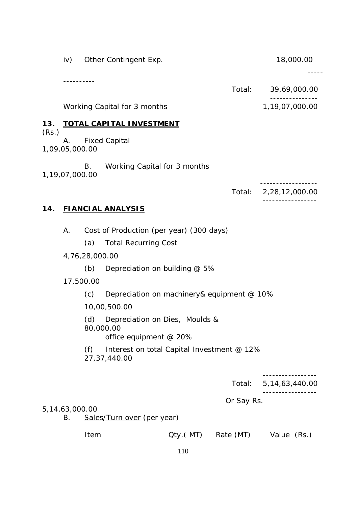|       | . <u>.</u>               |                |                                                                         |          | Total:     | 39,69,000.00      |
|-------|--------------------------|----------------|-------------------------------------------------------------------------|----------|------------|-------------------|
|       |                          |                | Working Capital for 3 months                                            |          |            | 1,19,07,000.00    |
| 13.   |                          |                | <b>TOTAL CAPITAL INVESTMENT</b>                                         |          |            |                   |
| (Rs.) | 1,09,05,000.00           |                | A. Fixed Capital                                                        |          |            |                   |
|       | 1,19,07,000.00           | В.             | Working Capital for 3 months                                            |          |            |                   |
|       |                          |                |                                                                         |          | Total:     | 2,28,12,000.00    |
| 14.   |                          |                | <b>FIANCIAL ANALYSIS</b>                                                |          |            |                   |
|       | А.                       |                | Cost of Production (per year) (300 days)                                |          |            |                   |
|       |                          | (a)            | <b>Total Recurring Cost</b>                                             |          |            |                   |
|       |                          | 4,76,28,000.00 |                                                                         |          |            |                   |
|       |                          | (b)            | Depreciation on building @ 5%                                           |          |            |                   |
|       | 17,500.00                |                |                                                                         |          |            |                   |
|       |                          | (c)            | Depreciation on machinery& equipment @ 10%                              |          |            |                   |
|       |                          |                | 10,00,500.00                                                            |          |            |                   |
|       |                          | (d)            | Depreciation on Dies, Moulds &<br>80,000.00<br>office equipment $@$ 20% |          |            |                   |
|       |                          | (f)            | Interest on total Capital Investment @ 12%<br>27, 37, 440.00            |          |            |                   |
|       |                          |                |                                                                         |          | Total:     | 5, 14, 63, 440.00 |
|       |                          |                |                                                                         |          | Or Say Rs. |                   |
|       | 5, 14, 63, 000. 00<br>В. |                | Sales/Turn over (per year)                                              |          |            |                   |
|       |                          | Item           |                                                                         | Qty.(MT) | Rate (MT)  | Value (Rs.)       |
|       |                          |                |                                                                         | 110      |            |                   |

iv) Other Contingent Exp. 18,000.00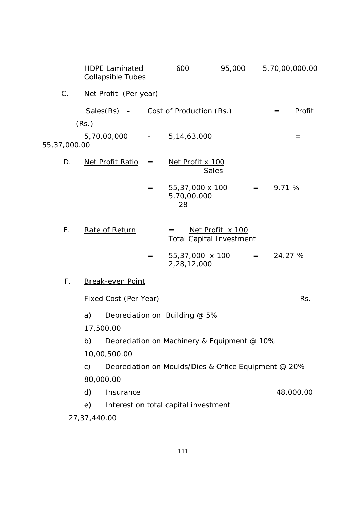|              | <b>HDPE Laminated</b><br><b>Collapsible Tubes</b> |     | 600                                                  | 95,000           |              |         | 5,70,00,000.00 |
|--------------|---------------------------------------------------|-----|------------------------------------------------------|------------------|--------------|---------|----------------|
| C.           | Net Profit (Per year)                             |     |                                                      |                  |              |         |                |
|              | Sales $(Rs)$ – Cost of Production $(Rs.)$         |     |                                                      |                  |              | $=$     | Profit         |
|              | (Rs.)                                             |     |                                                      |                  |              |         |                |
| 55,37,000.00 | 5,70,00,000 - 5,14,63,000                         |     |                                                      |                  |              |         | $=$            |
| D.           | Net Profit Ratio                                  | $=$ | Net Profit x 100                                     | Sales            |              |         |                |
|              |                                                   | $=$ | 55,37,000 x 100<br>5,70,00,000<br>28                 |                  | $=$ $-$      | 9.71 %  |                |
| Ε.           | Rate of Return                                    |     | $=$<br><b>Total Capital Investment</b>               | Net Profit x 100 |              |         |                |
|              |                                                   | $=$ | 55,37,000 x 100<br>2,28,12,000                       |                  | $=$ $\qquad$ | 24.27 % |                |
| $F_{\rm{H}}$ | <b>Break-even Point</b>                           |     |                                                      |                  |              |         |                |
|              | Fixed Cost (Per Year)                             |     |                                                      |                  |              |         | Rs.            |
|              | a)                                                |     | Depreciation on Building @ 5%                        |                  |              |         |                |
|              | 17,500.00                                         |     |                                                      |                  |              |         |                |
|              | b)                                                |     | Depreciation on Machinery & Equipment @ 10%          |                  |              |         |                |
|              | 10,00,500.00                                      |     |                                                      |                  |              |         |                |
|              | $\mathsf{C}$ )                                    |     | Depreciation on Moulds/Dies & Office Equipment @ 20% |                  |              |         |                |
|              | 80,000.00                                         |     |                                                      |                  |              |         |                |
|              | d)<br>Insurance                                   |     |                                                      |                  |              |         | 48,000.00      |
|              | e)                                                |     | Interest on total capital investment                 |                  |              |         |                |
|              | 27, 37, 440.00                                    |     |                                                      |                  |              |         |                |